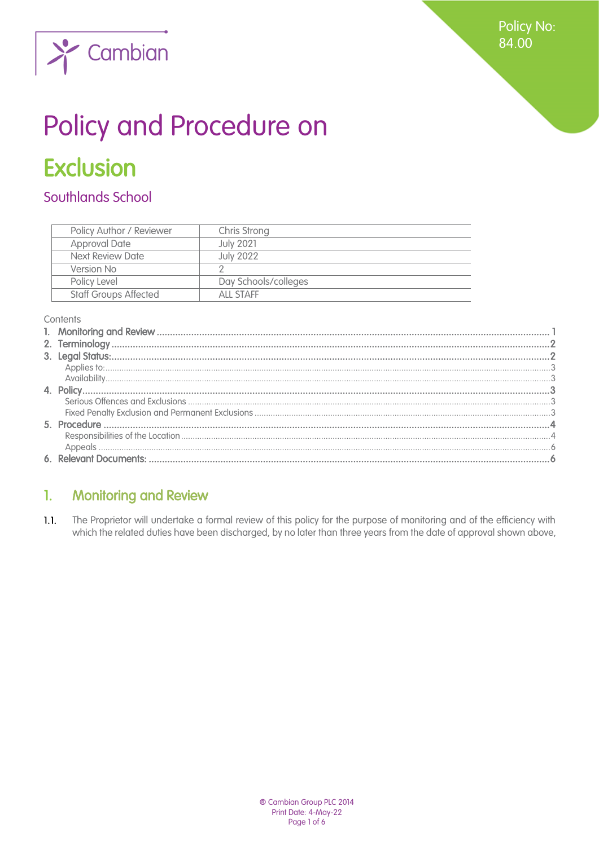**Policy No:** 84.00



# Policy and Procedure on

# **Exclusion**

# Southlands School

| Policy Author / Reviewer<br>Chris Strong  |  |
|-------------------------------------------|--|
|                                           |  |
| <b>Approval Date</b><br><b>July 2021</b>  |  |
| <b>July 2022</b><br>Next Review Date      |  |
| Version No                                |  |
| Day Schools/colleges<br>Policy Level      |  |
| <b>Staff Groups Affected</b><br>ALL STAFF |  |

#### Contents

#### <span id="page-0-0"></span>**Monitoring and Review**  $\mathbf{1}$ .

 $1.1.$ The Proprietor will undertake a formal review of this policy for the purpose of monitoring and of the efficiency with which the related duties have been discharged, by no later than three years from the date of approval shown above,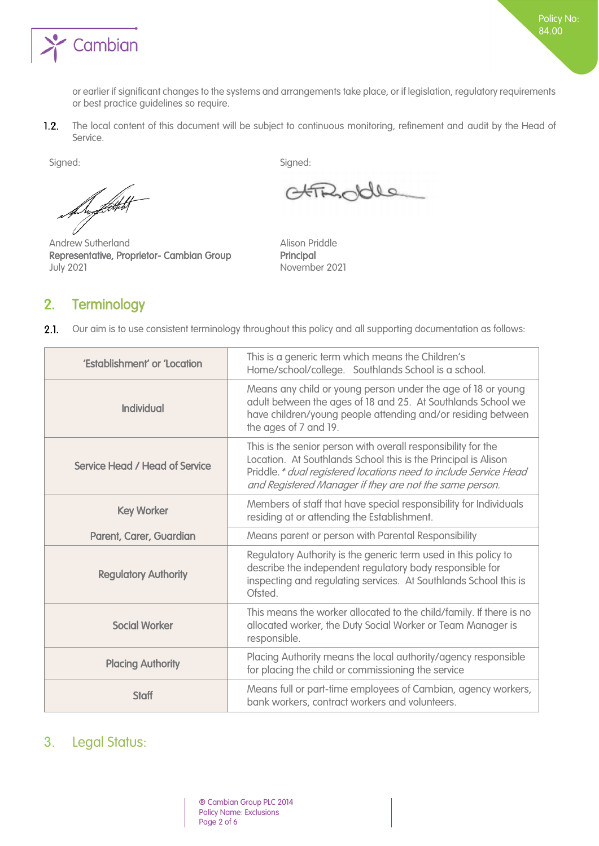

or earlier if significant changes to the systems and arrangements take place, or if legislation, regulatory requirements or best practice guidelines so require.

 $1.2.$ The local content of this document will be subject to continuous monitoring, refinement and audit by the Head of Service.

August 1

Andrew Sutherland **Alison Priddle** Representative, Proprietor- Cambian Group Principal July 2021 November 2021

# <span id="page-1-0"></span>2. Terminology

Signed: Signed: Signed: Signed: Signed: Signed: Signed: Signed: Signed: Signed: Signed: Signed: Signed: Signed: Signed: Signed: Signed: Signed: Signed: Signed: Signed: Signed: Signed: Signed: Signed: Signed: Signed: Signed

Solle

 $2.1.$ Our aim is to use consistent terminology throughout this policy and all supporting documentation as follows:

| 'Establishment' or 'Location          | This is a generic term which means the Children's<br>Home/school/college. Southlands School is a school.                                                                                                                                                        |
|---------------------------------------|-----------------------------------------------------------------------------------------------------------------------------------------------------------------------------------------------------------------------------------------------------------------|
| Individual                            | Means any child or young person under the age of 18 or young<br>adult between the ages of 18 and 25. At Southlands School we<br>have children/young people attending and/or residing between<br>the ages of 7 and 19.                                           |
| <b>Service Head / Head of Service</b> | This is the senior person with overall responsibility for the<br>Location. At Southlands School this is the Principal is Alison<br>Priddle. * dual registered locations need to include Service Head<br>and Registered Manager if they are not the same person. |
| <b>Key Worker</b>                     | Members of staff that have special responsibility for Individuals<br>residing at or attending the Establishment.                                                                                                                                                |
| Parent, Carer, Guardian               | Means parent or person with Parental Responsibility                                                                                                                                                                                                             |
| <b>Regulatory Authority</b>           | Regulatory Authority is the generic term used in this policy to<br>describe the independent regulatory body responsible for<br>inspecting and regulating services. At Southlands School this is<br>Ofsted.                                                      |
| <b>Social Worker</b>                  | This means the worker allocated to the child/family. If there is no<br>allocated worker, the Duty Social Worker or Team Manager is<br>responsible.                                                                                                              |
| <b>Placing Authority</b>              | Placing Authority means the local authority/agency responsible<br>for placing the child or commissioning the service                                                                                                                                            |
| <b>Staff</b>                          | Means full or part-time employees of Cambian, agency workers,<br>bank workers, contract workers and volunteers.                                                                                                                                                 |

# <span id="page-1-1"></span>3. Legal Status: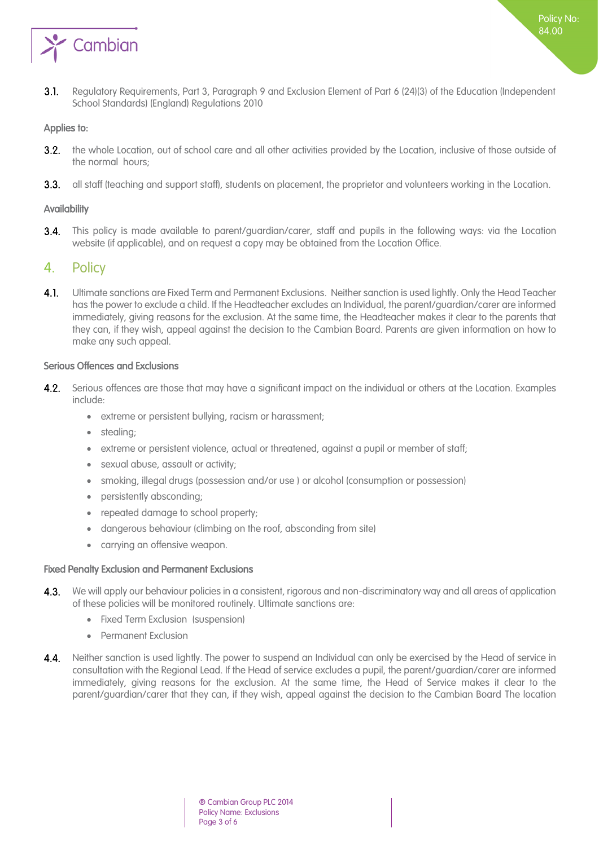

Policy No: 84.00

#### <span id="page-2-0"></span>Applies to:

- $3.2.$ the whole Location, out of school care and all other activities provided by the Location, inclusive of those outside of the normal hours;
- 3.3. all staff (teaching and support staff), students on placement, the proprietor and volunteers working in the Location.

#### <span id="page-2-1"></span>**Availability**

This policy is made available to parent/guardian/carer, staff and pupils in the following ways: via the Location  $3.4.$ website (if applicable), and on request a copy may be obtained from the Location Office.

## <span id="page-2-2"></span>4. Policy

4.1. Ultimate sanctions are Fixed Term and Permanent Exclusions. Neither sanction is used lightly. Only the Head Teacher has the power to exclude a child. If the Headteacher excludes an Individual, the parent/guardian/carer are informed immediately, giving reasons for the exclusion. At the same time, the Headteacher makes it clear to the parents that they can, if they wish, appeal against the decision to the Cambian Board. Parents are given information on how to make any such appeal.

#### <span id="page-2-3"></span>Serious Offences and Exclusions

- $4.2.$ Serious offences are those that may have a significant impact on the individual or others at the Location. Examples include:
	- extreme or persistent bullying, racism or harassment;
	- stealing;
	- extreme or persistent violence, actual or threatened, against a pupil or member of staff;
	- sexual abuse, assault or activity;
	- smoking, illegal drugs (possession and/or use ) or alcohol (consumption or possession)
	- persistently absconding;
	- repeated damage to school property;
	- dangerous behaviour (climbing on the roof, absconding from site)
	- carrying an offensive weapon.

#### <span id="page-2-4"></span>Fixed Penalty Exclusion and Permanent Exclusions

- 4.3. We will apply our behaviour policies in a consistent, rigorous and non-discriminatory way and all areas of application of these policies will be monitored routinely. Ultimate sanctions are:
	- Fixed Term Exclusion (suspension)
	- Permanent Exclusion
- 4.4. Neither sanction is used lightly. The power to suspend an Individual can only be exercised by the Head of service in consultation with the Regional Lead. If the Head of service excludes a pupil, the parent/guardian/carer are informed immediately, giving reasons for the exclusion. At the same time, the Head of Service makes it clear to the parent/guardian/carer that they can, if they wish, appeal against the decision to the Cambian Board The location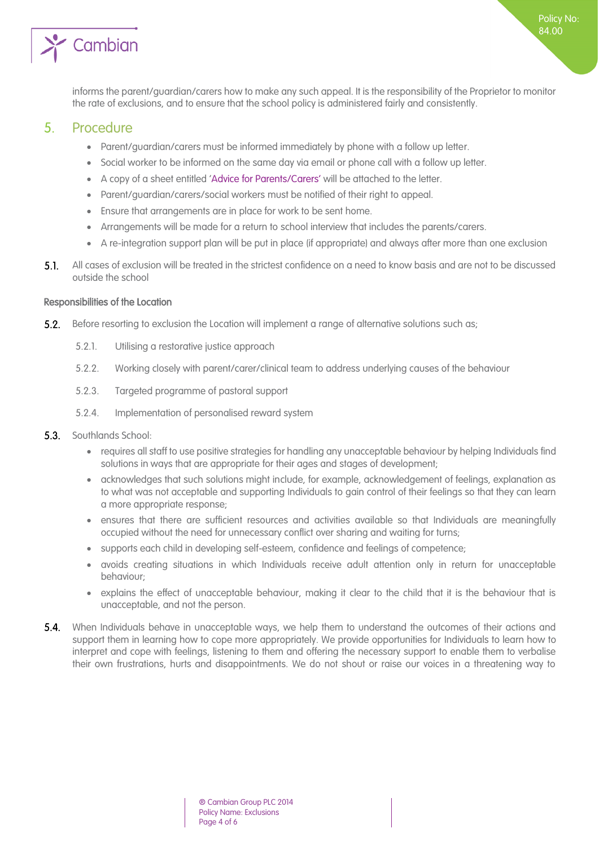

Policy No: 84.00

# <span id="page-3-0"></span>5. Procedure

- Parent/guardian/carers must be informed immediately by phone with a follow up letter.
- Social worker to be informed on the same day via email or phone call with a follow up letter.
- A copy of a sheet entitled 'Advice for Parents/Carers' will be attached to the letter.
- Parent/guardian/carers/social workers must be notified of their right to appeal.
- Ensure that arrangements are in place for work to be sent home.
- Arrangements will be made for a return to school interview that includes the parents/carers.
- A re-integration support plan will be put in place (if appropriate) and always after more than one exclusion
- $5.1.$ All cases of exclusion will be treated in the strictest confidence on a need to know basis and are not to be discussed outside the school

#### <span id="page-3-1"></span>Responsibilities of the Location

- $5.2.$ Before resorting to exclusion the Location will implement a range of alternative solutions such as;
	- 5.2.1. Utilising a restorative justice approach
	- 5.2.2. Working closely with parent/carer/clinical team to address underlying causes of the behaviour
	- 5.2.3. Targeted programme of pastoral support
	- 5.2.4. Implementation of personalised reward system
- $5.3.$ Southlands School:
	- requires all staff to use positive strategies for handling any unacceptable behaviour by helping Individuals find solutions in ways that are appropriate for their ages and stages of development;
	- acknowledges that such solutions might include, for example, acknowledgement of feelings, explanation as to what was not acceptable and supporting Individuals to gain control of their feelings so that they can learn a more appropriate response;
	- ensures that there are sufficient resources and activities available so that Individuals are meaningfully occupied without the need for unnecessary conflict over sharing and waiting for turns;
	- supports each child in developing self-esteem, confidence and feelings of competence;
	- avoids creating situations in which Individuals receive adult attention only in return for unacceptable behaviour;
	- explains the effect of unacceptable behaviour, making it clear to the child that it is the behaviour that is unacceptable, and not the person.
- **5.4.** When Individuals behave in unacceptable ways, we help them to understand the outcomes of their actions and support them in learning how to cope more appropriately. We provide opportunities for Individuals to learn how to interpret and cope with feelings, listening to them and offering the necessary support to enable them to verbalise their own frustrations, hurts and disappointments. We do not shout or raise our voices in a threatening way to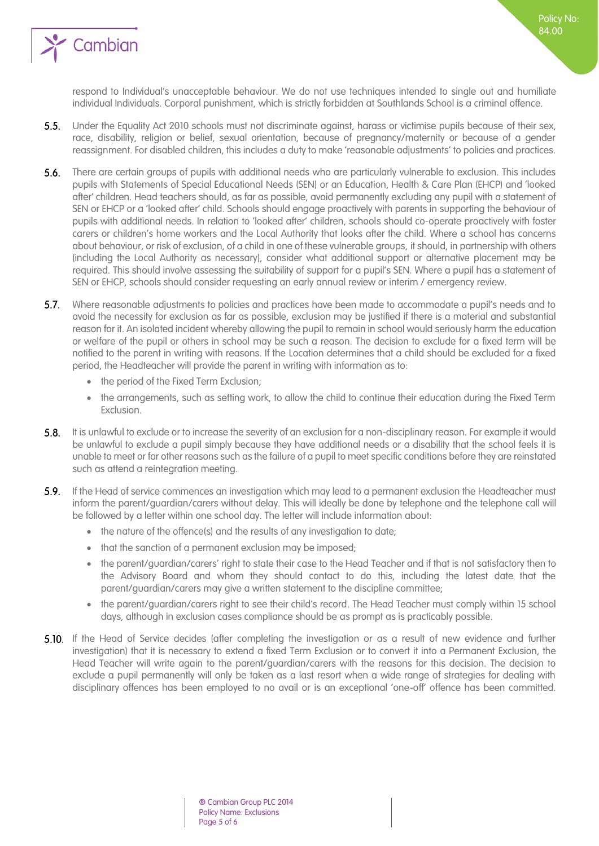

respond to Individual's unacceptable behaviour. We do not use techniques intended to single out and humiliate individual Individuals. Corporal punishment, which is strictly forbidden at Southlands School is a criminal offence.

- $5.5.$ Under the Equality Act 2010 schools must not discriminate against, harass or victimise pupils because of their sex, race, disability, religion or belief, sexual orientation, because of pregnancy/maternity or because of a gender reassignment. For disabled children, this includes a duty to make 'reasonable adjustments' to policies and practices.
- **5.6.** There are certain groups of pupils with additional needs who are particularly vulnerable to exclusion. This includes pupils with Statements of Special Educational Needs (SEN) or an Education, Health & Care Plan (EHCP) and 'looked after' children. Head teachers should, as far as possible, avoid permanently excluding any pupil with a statement of SEN or EHCP or a 'looked after' child. Schools should engage proactively with parents in supporting the behaviour of pupils with additional needs. In relation to 'looked after' children, schools should co-operate proactively with foster carers or children's home workers and the Local Authority that looks after the child. Where a school has concerns about behaviour, or risk of exclusion, of a child in one of these vulnerable groups, it should, in partnership with others (including the Local Authority as necessary), consider what additional support or alternative placement may be required. This should involve assessing the suitability of support for a pupil's SEN. Where a pupil has a statement of SEN or EHCP, schools should consider requesting an early annual review or interim / emergency review.
- 5.7. Where reasonable adjustments to policies and practices have been made to accommodate a pupil's needs and to avoid the necessity for exclusion as far as possible, exclusion may be justified if there is a material and substantial reason for it. An isolated incident whereby allowing the pupil to remain in school would seriously harm the education or welfare of the pupil or others in school may be such a reason. The decision to exclude for a fixed term will be notified to the parent in writing with reasons. If the Location determines that a child should be excluded for a fixed period, the Headteacher will provide the parent in writing with information as to:
	- the period of the Fixed Term Exclusion:
	- the arrangements, such as setting work, to allow the child to continue their education during the Fixed Term Exclusion.
- 5.8. It is unlawful to exclude or to increase the severity of an exclusion for a non-disciplinary reason. For example it would be unlawful to exclude a pupil simply because they have additional needs or a disability that the school feels it is unable to meet or for other reasons such as the failure of a pupil to meet specific conditions before they are reinstated such as attend a reintegration meeting.
- 5.9. If the Head of service commences an investigation which may lead to a permanent exclusion the Headteacher must inform the parent/guardian/carers without delay. This will ideally be done by telephone and the telephone call will be followed by a letter within one school day. The letter will include information about:
	- the nature of the offence(s) and the results of any investigation to date;
	- that the sanction of a permanent exclusion may be imposed;
	- the parent/guardian/carers' right to state their case to the Head Teacher and if that is not satisfactory then to the Advisory Board and whom they should contact to do this, including the latest date that the parent/guardian/carers may give a written statement to the discipline committee;
	- the parent/guardian/carers right to see their child's record. The Head Teacher must comply within 15 school days, although in exclusion cases compliance should be as prompt as is practicably possible.
- 5.10. If the Head of Service decides (after completing the investigation or as a result of new evidence and further investigation) that it is necessary to extend a fixed Term Exclusion or to convert it into a Permanent Exclusion, the Head Teacher will write again to the parent/guardian/carers with the reasons for this decision. The decision to exclude a pupil permanently will only be taken as a last resort when a wide range of strategies for dealing with disciplinary offences has been employed to no avail or is an exceptional 'one-off' offence has been committed.